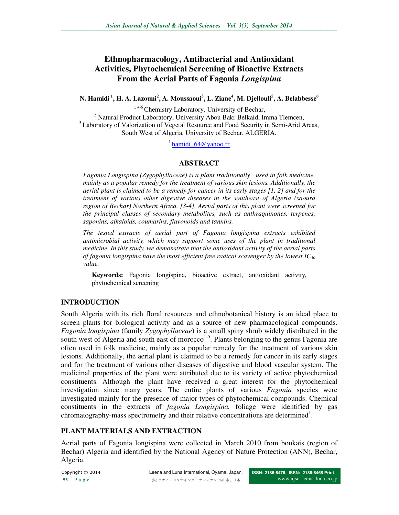# **Ethnopharmacology, Antibacterial and Antioxidant Activities, Phytochemical Screening of Bioactive Extracts From the Aerial Parts of Fagonia** *Longispina*

### **N. Hamidi<sup>1</sup>, H. A. Lazouni<sup>2</sup> , A. Moussaoui<sup>3</sup> , L. Ziane<sup>4</sup> , M. Djellouli<sup>5</sup> , A. Belabbesse<sup>6</sup>**

<sup>1, 4-6</sup> Chemistry Laboratory, University of Bechar, <sup>2</sup> Natural Product Laboratory, University Abou Bakr Belkaid, Imma Tlemcen, <sup>3</sup> Laboratory of Valorization of Vegetal Resource and Food Security in Semi-Arid Areas, South West of Algeria, University of Bechar. ALGERIA.

<sup>1</sup> hamidi  $64@$  vahoo.fr

## **ABSTRACT**

*Fagonia Longispina (Zygophyllaceae) is a plant traditionally used in folk medicine, mainly as a popular remedy for the treatment of various skin lesions. Additionally, the aerial plant is claimed to be a remedy for cancer in its early stages [1, 2] and for the treatment of various other digestive diseases in the southeast of Algeria (saoura region of Bechar) Northern Africa. [3-4]. Aerial parts of this plant were screened for the principal classes of secondary metabolites, such as anthraquinones, terpenes, saponins, alkaloids, coumarins, flavonoids and tannins.* 

*The tested extracts of aerial part of Fagonia longispina extracts exhibited antimicrobial activity, which may support some uses of the plant in traditional medicine. In this study, we demonstrate that the antioxidant activity of the aerial parts of fagonia longispina have the most efficient free radical scavenger by the lowest IC<sup>50</sup> value.* 

**Keywords:** Fagonia longispina, bioactive extract, antioxidant activity, phytochemical screening

## **INTRODUCTION**

South Algeria with its rich floral resources and ethnobotanical history is an ideal place to screen plants for biological activity and as a source of new pharmacological compounds. *Fagonia longispina* (family *Zygophyllaceae*) is a small spiny shrub widely distributed in the south west of Algeria and south east of morocco<sup>1-5</sup>. Plants belonging to the genus Fagonia are often used in folk medicine, mainly as a popular remedy for the treatment of various skin lesions. Additionally, the aerial plant is claimed to be a remedy for cancer in its early stages and for the treatment of various other diseases of digestive and blood vascular system. The medicinal properties of the plant were attributed due to its variety of active phytochemical constituents. Although the plant have received a great interest for the phytochemical investigation since many years. The entire plants of various *Fagonia* species were investigated mainly for the presence of major types of phytochemical compounds. Chemical constituents in the extracts of *fagonia Longispina.* foliage were identified by gas chromatography-mass spectrometry and their relative concentrations are determined<sup>1</sup>.

## **PLANT MATERIALS AND EXTRACTION**

Aerial parts of Fagonia longispina were collected in March 2010 from boukais (region of Bechar) Algeria and identified by the National Agency of Nature Protection (ANN), Bechar, Algeria.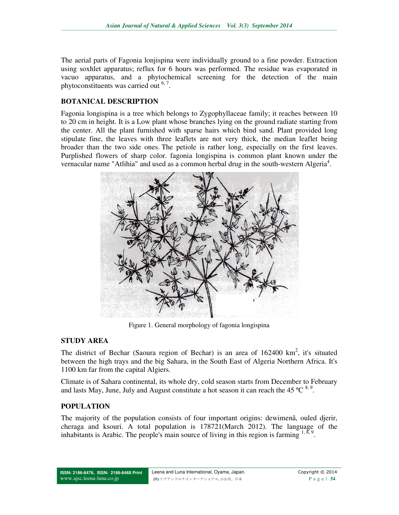The aerial parts of Fagonia lonjispina were individually ground to a fine powder. Extraction using soxhlet apparatus; reflux for 6 hours was performed. The residue was evaporated in vacuo apparatus, and a phytochemical screening for the detection of the main phytoconstituents was carried out <sup>6,7</sup>.

## **BOTANICAL DESCRIPTION**

Fagonia longispina is a tree which belongs to Zygophyllaceae family; it reaches between 10 to 20 cm in height. It is a Low plant whose branches lying on the ground radiate starting from the center. All the plant furnished with sparse hairs which bind sand. Plant provided long stipulate fine, the leaves with three leaflets are not very thick, the median leaflet being broader than the two side ones. The petiole is rather long, especially on the first leaves. Purplished flowers of sharp color. fagonia longispina is common plant known under the vernacular name "Atlihia" and used as a common herbal drug in the south-western Algeria<sup>4</sup>.



Figure 1. General morphology of fagonia longispina

## **STUDY AREA**

The district of Bechar (Saoura region of Bechar) is an area of  $162400 \text{ km}^2$ , it's situated between the high trays and the big Sahara, in the South East of Algeria Northern Africa. It's 1100 km far from the capital Algiers.

Climate is of Sahara continental, its whole dry, cold season starts from December to February and lasts May, June, July and August constitute a hot season it can reach the 45  $^{\circ}$ C  $^{8,9}$ .

## **POPULATION**

The majority of the population consists of four important origins: dewimenâ, ouled djerir, cheraga and ksouri. A total population is 178721(March 2012). The language of the inhabitants is Arabic. The people's main source of living in this region is farming  $^{1, \delta, 9}$ .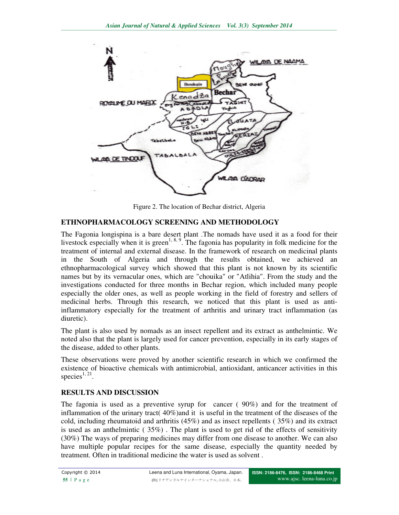

Figure 2. The location of Bechar district, Algeria

## **ETHNOPHARMACOLOGY SCREENING AND METHODOLOGY**

The Fagonia longispina is a bare desert plant .The nomads have used it as a food for their livestock especially when it is green<sup>1, 8, 9</sup>. The fagonia has popularity in folk medicine for the treatment of internal and external disease. In the framework of research on medicinal plants in the South of Algeria and through the results obtained, we achieved an ethnopharmacological survey which showed that this plant is not known by its scientific names but by its vernacular ones, which are "chouika" or "Atlihia". From the study and the investigations conducted for three months in Bechar region, which included many people especially the older ones, as well as people working in the field of forestry and sellers of medicinal herbs. Through this research, we noticed that this plant is used as antiinflammatory especially for the treatment of arthritis and urinary tract inflammation (as diuretic).

The plant is also used by nomads as an insect repellent and its extract as anthelmintic. We noted also that the plant is largely used for cancer prevention, especially in its early stages of the disease, added to other plants.

These observations were proved by another scientific research in which we confirmed the existence of bioactive chemicals with antimicrobial, antioxidant, anticancer activities in this species $1, 21$ .

### **RESULTS AND DISCUSSION**

The fagonia is used as a preventive syrup for cancer ( 90%) and for the treatment of inflammation of the urinary tract( 40%)and it is useful in the treatment of the diseases of the cold, including rheumatoid and arthritis (45%) and as insect repellents ( 35%) and its extract is used as an anthelmintic  $(35\%)$ . The plant is used to get rid of the effects of sensitivity (30%) The ways of preparing medicines may differ from one disease to another. We can also have multiple popular recipes for the same disease, especially the quantity needed by treatment. Often in traditional medicine the water is used as solvent .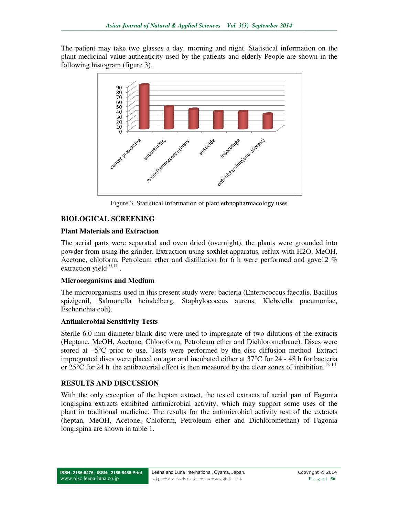The patient may take two glasses a day, morning and night. Statistical information on the The patient may take two glasses a day, morning and night. Statistical information on the plant medicinal value authenticity used by the patients and elderly People are shown in the following histogram (figure 3).



Figure 3. Statistical information of plant ethnopharmacology uses

### **BIOLOGICAL SCREENING**

### **Plant Materials and Extraction**

The aerial parts were separated and oven dried (overnight), the plants were grounded into powder from using the grinder. Extraction using soxhlet apparatus, reflux with H2O, MeOH, Acetone, chloform, Petroleum ether and distillation for 6 h were performed and gave12 % extraction yield $10,11$ .

### **Microorganisms and Medium**

The microorganisms used in this present study were: bacteria (Enterococcus faecalis, Bacillus spizigenil, Salmonella heindelberg, Staphylococcus aureus, Klebsiella pneumoniae, Escherichia coli). dium<br>in this present study were: bacteria (Enterococcus faecalis, Bacillus<br>heindelberg, Staphylococcus aureus, Klebsiella pneumoniae,

### **Antimicrobial Sensitivity Tests**

Sterile 6.0 mm diameter blank disc were used to impregnate of two dilutions of the extracts Sterile 6.0 mm diameter blank disc were used to impregnate of two dilutions of the extracts (Heptane, MeOH, Acetone, Chloroform, Petroleum ether and Dichloromethane). Discs were stored at  $-5^{\circ}\text{C}$  prior to use. Tests were performed by the disc diffusion method. Extract impregnated discs were placed on agar and incubated either at  $37^{\circ}\text{C}$  for 24 - 48 h for bacteria impregnated discs were placed on agar and incubated either at  $37^{\circ}$ C for 24 - 48 h for bacteria or  $25^{\circ}$ C for 24 h. the antibacterial effect is then measured by the clear zones of inhibition.<sup>12-14</sup>

### **RESULTS AND DISCUSSION**

With the only exception of the heptan extract, the tested extracts of aerial part of Fagonia With the only exception of the heptan extract, the tested extracts of aerial part of Fagonia longispina extracts exhibited antimicrobial activity, which may support some uses of the plant in traditional medicine. The resul plant in traditional medicine. The results for the antimicrobial activity test of the extracts plant in traditional medicine. The results for the antimicrobial activity test of the extracts (heptan, MeOH, Acetone, Chloform, Petroleum ether and Dichloromethan) of Fagonia longispina are shown in table 1.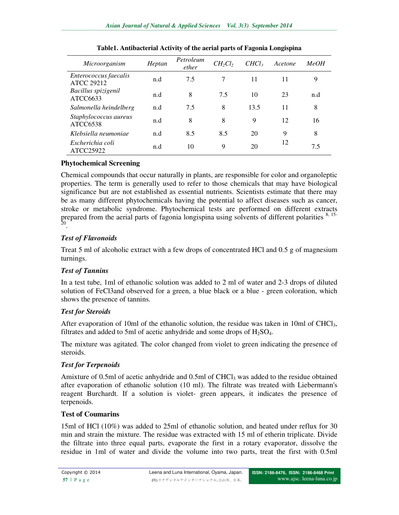| Microorganism                              | Heptan | Petroleum<br>ether | $CH_2Cl_2$ | CHCl <sub>3</sub> | Acetone | MeOH |  |
|--------------------------------------------|--------|--------------------|------------|-------------------|---------|------|--|
| Enterococcus faecalis<br><b>ATCC 29212</b> | n.d    | 7.5                | 7          | 11                | 11      | 9    |  |
| Bacillus spizigenil<br>ATCC6633            | n.d    | 8                  | 7.5        | 10                | 23      | n.d  |  |
| Salmonella heindelberg                     | n.d    | 7.5                | 8          | 13.5              | 11      | 8    |  |
| Staphylococcus aureus<br>ATCC6538          | n.d    | 8                  | 8          | 9                 | 12      | 16   |  |
| Klebsiella neumoniae                       | n.d    | 8.5                | 8.5        | 20                | 9       | 8    |  |
| Escherichia coli<br>ATCC25922              | n.d    | 10                 | 9          | 20                | 12      | 7.5  |  |

#### **Table1. Antibacterial Activity of the aerial parts of Fagonia Longispina**

## **Phytochemical Screening**

Chemical compounds that occur naturally in plants, are responsible for color and organoleptic properties. The term is generally used to refer to those chemicals that may have biological significance but are not established as essential nutrients. Scientists estimate that there may be as many different phytochemicals having the potential to affect diseases such as cancer, stroke or metabolic syndrome. Phytochemical tests are performed on different extracts prepared from the aerial parts of fagonia longispina using solvents of different polarities <sup>8, 15-</sup><br><sup>20</sup>.

## *Test of Flavonoids*

Treat 5 ml of alcoholic extract with a few drops of concentrated HCl and 0.5 g of magnesium turnings.

### *Test of Tannins*

In a test tube, 1ml of ethanolic solution was added to 2 ml of water and 2-3 drops of diluted solution of FeCl3and observed for a green, a blue black or a blue - green coloration, which shows the presence of tannins.

### *Test for Steroids*

After evaporation of 10ml of the ethanolic solution, the residue was taken in 10ml of CHCl<sub>3</sub>, filtrates and added to 5ml of acetic anhydride and some drops of  $H<sub>2</sub>SO<sub>4</sub>$ .

The mixture was agitated. The color changed from violet to green indicating the presence of steroids.

### *Test for Terpenoids*

Amixture of 0.5ml of acetic anhydride and 0.5ml of  $CHCl<sub>3</sub>$  was added to the residue obtained after evaporation of ethanolic solution (10 ml). The filtrate was treated with Liebermann's reagent Burchardt. If a solution is violet- green appears, it indicates the presence of terpenoids.

### **Test of Coumarins**

15ml of HCl (10%) was added to 25ml of ethanolic solution, and heated under reflux for 30 min and strain the mixture. The residue was extracted with 15 ml of etherin triplicate. Divide the filtrate into three equal parts, evaporate the first in a rotary evaporator, dissolve the residue in 1ml of water and divide the volume into two parts, treat the first with 0.5ml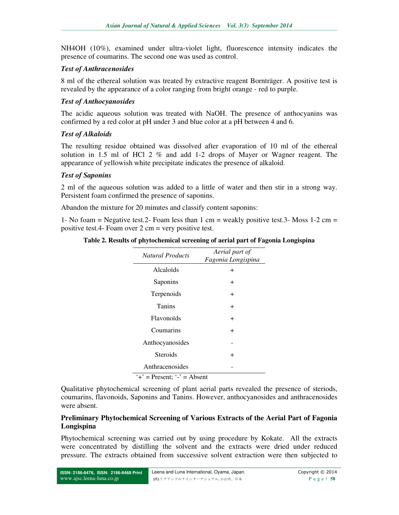NH4OH (10%), examined under ultra-violet light, fluorescence intensity indicates the presence of coumarins. The second one was used as control.

#### *Test of Anthracenosides*

8 ml of the ethereal solution was treated by extractive reagent Bornträger. A positive test is revealed by the appearance of a color ranging from bright orange - red to purple.

### *Test of Anthocyanosides*

The acidic aqueous solution was treated with NaOH. The presence of anthocyanins was confirmed by a red color at pH under 3 and blue color at a pH between 4 and 6.

### *Test of Alkaloids*

The resulting residue obtained was dissolved after evaporation of 10 ml of the ethereal solution in 1.5 ml of HCl 2 % and add 1-2 drops of Mayer or Wagner reagent. The appearance of yellowish white precipitate indicates the presence of alkaloid.

#### *Test of Saponins*

2 ml of the aqueous solution was added to a little of water and then stir in a strong way. Persistent foam confirmed the presence of saponins.

Abandon the mixture for 20 minutes and classify content saponins:

1- No foam = Negative test.2- Foam less than 1 cm = weakly positive test.3- Moss 1-2 cm = positive test.4- Foam over 2 cm = very positive test.

**Table 2. Results of phytochemical screening of aerial part of Fagonia Longispina** 

| <b>Natural Products</b>                 | Aerial part of<br>Fagonia Longispina |
|-----------------------------------------|--------------------------------------|
| Alcaloïds                               | $\pm$                                |
| Saponins                                | $\pm$                                |
| Terpenoids                              | $\pm$                                |
| <b>Tanins</b>                           | $\ddot{}$                            |
| Flavonoïds                              | $\pm$                                |
| Coumarins                               | $\pm$                                |
| Anthocyanosides                         |                                      |
| Steroids                                | $\div$                               |
| Anthracenosides                         |                                      |
| $\dot{+}$ = Present; $\dot{-}$ = Absent |                                      |

Qualitative phytochemical screening of plant aerial parts revealed the presence of steriods, coumarins, flavonoids, Saponins and Tanins. However, anthocyanosides and anthracenosides were absent.

### **Preliminary Phytochemical Screening of Various Extracts of the Aerial Part of Fagonia Longispina**

Phytochemical screening was carried out by using procedure by Kokate. All the extracts were concentrated by distilling the solvent and the extracts were dried under reduced pressure. The extracts obtained from successive solvent extraction were then subjected to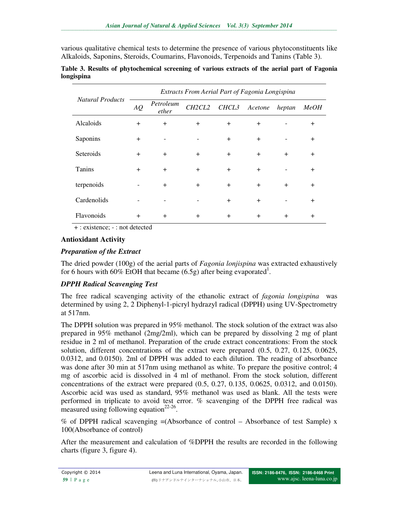various qualitative chemical tests to determine the presence of various phytoconstituents like Alkaloids, Saponins, Steroids, Coumarins, Flavonoids, Terpenoids and Tanins (Table 3).

| <b>Natural Products</b> | Extracts From Aerial Part of Fagonia Longispina |                    |                                 |           |         |        |             |
|-------------------------|-------------------------------------------------|--------------------|---------------------------------|-----------|---------|--------|-------------|
|                         | AQ                                              | Petroleum<br>ether | CH <sub>2</sub> CL <sub>2</sub> | CHCL3     | Acetone | heptan | <b>MeOH</b> |
| Alcaloids               | $+$                                             | $+$                | $+$                             | $+$       | $+$     |        | $\ddot{}$   |
| Saponins                | $+$                                             |                    |                                 | $\ddot{}$ | $+$     |        | $+$         |
| Seteroids               | $\ddot{}$                                       | $+$                | $+$                             | $+$       | $+$     | $+$    | $+$         |
| <b>Tanins</b>           | $+$                                             | $+$                | $+$                             | $+$       | $+$     |        | $+$         |
| terpenoids              | -                                               | $+$                | $+$                             | $+$       | $+$     | $+$    | $+$         |
| Cardenolids             |                                                 |                    |                                 | $+$       | $+$     |        | $+$         |
| Flavonoids              | $\ddot{}$                                       | $+$                | $+$                             | $+$       | $+$     | $+$    | $+$         |

#### **Table 3. Results of phytochemical screening of various extracts of the aerial part of Fagonia longispina**

+ : existence; - : not detected

### **Antioxidant Activity**

#### *Preparation of the Extract*

The dried powder (100g) of the aerial parts of *Fagonia lonjispina* was extracted exhaustively for 6 hours with 60% EtOH that became  $(6.5g)$  after being evaporated<sup>1</sup>.

### *DPPH Radical Scavenging Test*

The free radical scavenging activity of the ethanolic extract of *fagonia longispina* was determined by using 2, 2 Diphenyl-1-picryl hydrazyl radical (DPPH) using UV-Spectrometry at 517nm.

The DPPH solution was prepared in 95% methanol. The stock solution of the extract was also prepared in 95% methanol (2mg/2ml), which can be prepared by dissolving 2 mg of plant residue in 2 ml of methanol. Preparation of the crude extract concentrations: From the stock solution, different concentrations of the extract were prepared (0.5, 0.27, 0.125, 0.0625, 0.0312, and 0.0150). 2ml of DPPH was added to each dilution. The reading of absorbance was done after 30 min at 517nm using methanol as white. To prepare the positive control; 4 mg of ascorbic acid is dissolved in 4 ml of methanol. From the stock solution, different concentrations of the extract were prepared (0.5, 0.27, 0.135, 0.0625, 0.0312, and 0.0150). Ascorbic acid was used as standard, 95% methanol was used as blank. All the tests were performed in triplicate to avoid test error. % scavenging of the DPPH free radical was measured using following equation<sup>22-26</sup>.

% of DPPH radical scavenging =(Absorbance of control – Absorbance of test Sample) x 100(Absorbance of control)

After the measurement and calculation of %DPPH the results are recorded in the following charts (figure 3, figure 4).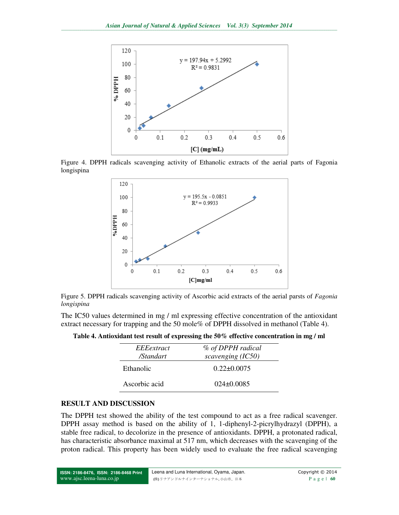

Figure 4. DPPH radicals scavenging activity of Ethanolic extracts of the aerial parts of Fagonia longispina



Figure 5. DPPH radicals scavenging activity of Ascorbic acid extracts of the aerial parsts of *Fagonia longispina*

The IC50 values determined in mg / ml expressing effective concentration of the antioxidant extract necessary for trapping and the 50 mole% of DPPH dissolved in methanol (Table 4).

**Table 4. Antioxidant test result of expressing the 50% effective concentration in mg / ml** 

| EEEextract<br>/Standart | % of DPPH radical<br>scavenging (IC50) |
|-------------------------|----------------------------------------|
| Ethanolic               | $0.22 \pm 0.0075$                      |
| Ascorbic acid           | $024+0.0085$                           |

#### **RESULT AND DISCUSSION**

The DPPH test showed the ability of the test compound to act as a free radical scavenger. DPPH assay method is based on the ability of 1, 1-diphenyl-2-picrylhydrazyl (DPPH), a stable free radical, to decolorize in the presence of antioxidants. DPPH, a protonated radical, has characteristic absorbance maximal at 517 nm, which decreases with the scavenging of the proton radical. This property has been widely used to evaluate the free radical scavenging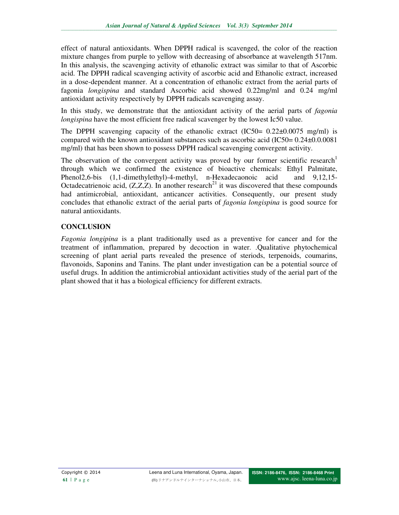effect of natural antioxidants. When DPPH radical is scavenged, the color of the reaction mixture changes from purple to yellow with decreasing of absorbance at wavelength 517nm. In this analysis, the scavenging activity of ethanolic extract was similar to that of Ascorbic acid. The DPPH radical scavenging activity of ascorbic acid and Ethanolic extract, increased in a dose-dependent manner. At a concentration of ethanolic extract from the aerial parts of fagonia *longispina* and standard Ascorbic acid showed 0.22mg/ml and 0.24 mg/ml antioxidant activity respectively by DPPH radicals scavenging assay.

In this study, we demonstrate that the antioxidant activity of the aerial parts of *fagonia longispina* have the most efficient free radical scavenger by the lowest Ic50 value.

The DPPH scavenging capacity of the ethanolic extract  $(IC50= 0.22 \pm 0.0075 \text{ mg/ml})$  is compared with the known antioxidant substances such as ascorbic acid ( $IC50= 0.24\pm0.00081$ ) mg/ml) that has been shown to possess DPPH radical scavenging convergent activity.

The observation of the convergent activity was proved by our former scientific research<sup>1</sup> through which we confirmed the existence of bioactive chemicals: Ethyl Palmitate, Phenol2,6-bis (1,1-dimethylethyl)-4-methyl, n-Hexadecaonoic acid and 9,12,15- Octadecatrienoic acid,  $(Z, Z, Z)$ . In another research<sup>21</sup> it was discovered that these compounds had antimicrobial, antioxidant, anticancer activities. Consequently, our present study concludes that ethanolic extract of the aerial parts of *fagonia longispina* is good source for natural antioxidants.

## **CONCLUSION**

*Fagonia longipina* is a plant traditionally used as a preventive for cancer and for the treatment of inflammation, prepared by decoction in water. .Qualitative phytochemical screening of plant aerial parts revealed the presence of steriods, terpenoids, coumarins, flavonoids, Saponins and Tanins. The plant under investigation can be a potential source of useful drugs. In addition the antimicrobial antioxidant activities study of the aerial part of the plant showed that it has a biological efficiency for different extracts.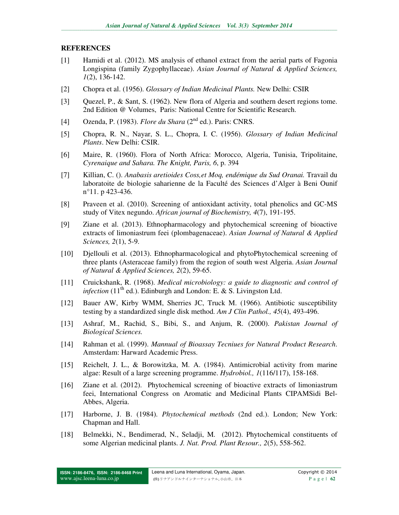#### **REFERENCES**

- [1] Hamidi et al. (2012). MS analysis of ethanol extract from the aerial parts of Fagonia Longispina (family Zygophyllaceae). *Asian Journal of Natural & Applied Sciences, 1*(2), 136-142.
- [2] Chopra et al. (1956). *Glossary of Indian Medicinal Plants.* New Delhi: CSIR
- [3] Quezel, P., & Sant, S. (1962). New flora of Algeria and southern desert regions tome. 2nd Edition @ Volumes, Paris: National Centre for Scientific Research.
- [4] Ozenda, P. (1983). *Flore du Shara* (2nd ed.). Paris: CNRS.
- [5] Chopra, R. N., Nayar, S. L., Chopra, I. C. (1956). *Glossary of Indian Medicinal Plants*. New Delhi: CSIR.
- [6] Maire, R. (1960). Flora of North Africa: Morocco, Algeria, Tunisia, Tripolitaine, *Cyrenaique and Sahara. The Knight, Paris, 6*, p. 394
- [7] Killian, C. (). *Anabasis aretioides Coss,et Moq, endémique du Sud Oranai.* Travail du laboratoite de biologie saharienne de la Faculté des Sciences d'Alger à Beni Ounif n°11. p 423-436.
- [8] Praveen et al. (2010). Screening of antioxidant activity, total phenolics and GC-MS study of Vitex negundo. *African journal of Biochemistry, 4*(7), 191-195.
- [9] Ziane et al. (2013). Ethnopharmacology and phytochemical screening of bioactive extracts of limoniastrum feei (plombagenaceae). *Asian Journal of Natural & Applied Sciences, 2*(1), 5-9.
- [10] Djellouli et al. (2013). Ethnopharmacological and phytoPhytochemical screening of three plants (Asteraceae family) from the region of south west Algeria. *Asian Journal of Natural & Applied Sciences, 2*(2), 59-65.
- [11] Cruickshank, R. (1968). *Medical microbiology: a guide to diagnostic and control of infection* (11<sup>th</sup> ed.). Edinburgh and London: E. & S. Livingston Ltd.
- [12] Bauer AW, Kirby WMM, Sherries JC, Truck M. (1966). Antibiotic susceptibility testing by a standardized single disk method. *Am J Clin Pathol., 45*(4), 493-496.
- [13] Ashraf, M., Rachid, S., Bibi, S., and Anjum, R. (2000). *Pakistan Journal of Biological Sciences.*
- [14] Rahman et al. (1999). *Mannual of Bioassay Tecniues for Natural Product Research*. Amsterdam: Harward Academic Press.
- [15] Reichelt, J. L., & Borowitzka, M. A. (1984). Antimicrobial activity from marine algae: Result of a large screening programme. *Hydrobiol., 1*(116/117), 158-168.
- [16] Ziane et al. (2012). Phytochemical screening of bioactive extracts of limoniastrum feei, International Congress on Aromatic and Medicinal Plants CIPAMSidi Bel-Abbes, Algeria.
- [17] Harborne, J. B. (1984). *Phytochemical methods* (2nd ed.). London; New York: Chapman and Hall.
- [18] Belmekki, N., Bendimerad, N., Seladji, M. (2012). Phytochemical constituents of some Algerian medicinal plants. *J. Nat. Prod. Plant Resour., 2*(5), 558-562.